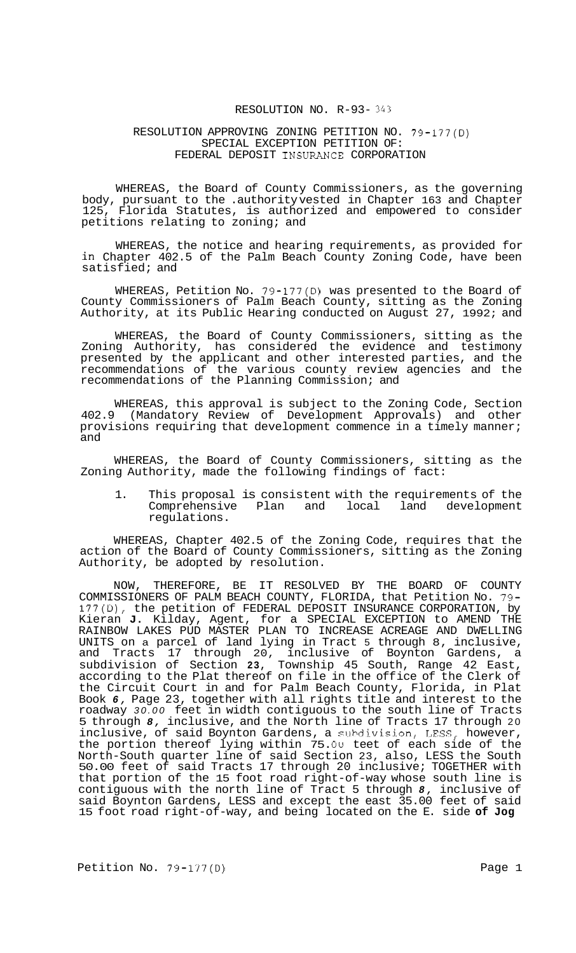## RESOLUTION NO. R-93- *343*

#### RESOLUTION APPROVING ZONING PETITION NO. 79-177(D) SPECIAL EXCEPTION PETITION OF: FEDERAL DEPOSIT INSURANCE CORPORATION

WHEREAS, the Board of County Commissioners, as the governing body, pursuant to the .authority vested in Chapter 163 and Chapter 125, Florida Statutes, is authorized and empowered to consider petitions relating to zoning; and

WHEREAS, the notice and hearing requirements, as provided for in Chapter 402.5 of the Palm Beach County Zoning Code, have been satisfied; and

WHEREAS, Petition No. 79-177(D) was presented to the Board of County Commissioners of Palm Beach County, sitting as the Zoning Authority, at its Public Hearing conducted on August 27, 1992; and

WHEREAS, the Board of County Commissioners, sitting as the Zoning Authority, has considered the evidence and testimony presented by the applicant and other interested parties, and the recommendations of the various county review agencies and the recommendations of the Planning Commission; and

WHEREAS, this approval is subject to the Zoning Code, Section 402.9 (Mandatory Review of Development Approvals) and other provisions requiring that development commence in a timely manner; and

WHEREAS, the Board of County Commissioners, sitting as the Zoning Authority, made the following findings of fact:

1. This proposal is consistent with the requirements of the Comprehensive Plan and local land development regulations.

WHEREAS, Chapter 402.5 of the Zoning Code, requires that the action of the Board of County Commissioners, sitting as the Zoning Authority, be adopted by resolution.

NOW, THEREFORE, BE IT RESOLVED BY THE BOARD OF COUNTY COMMISSIONERS OF PALM BEACH COUNTY, FLORIDA, that Petition No. 79- 177(D), the petition of FEDERAL DEPOSIT INSURANCE CORPORATION, by Kieran **J.** Kilday, Agent, for a SPECIAL EXCEPTION to AMEND THE RAINBOW LAKES PUD MASTER PLAN TO INCREASE ACREAGE AND DWELLING UNITS on a parcel of land lying in Tract 5 through 8, inclusive, and Tracts 17 through 20, inclusive of Boynton Gardens, a subdivision of Section **23,** Township 45 South, Range 42 East, according to the Plat thereof on file in the office of the Clerk of the Circuit Court in and for Palm Beach County, Florida, in Plat Book *6,* Page 23, together with all rights title and interest to the roadway *30.00* feet in width contiguous to the south line of Tracts 5 through *8,* inclusive, and the North line of Tracts 17 through 20 inclusive, of said Boynton Gardens, a subdivision, LESS, however, the portion thereof lying within 75. Ou teet of each side of the North-South quarter line of said Section 23, also, LESS the South 50.00 feet of said Tracts 17 through 20 inclusive; TOGETHER with that portion of the 15 foot road right-of-way whose south line is contiguous with the north line of Tract 5 through *8,* inclusive of said Boynton Gardens, LESS and except the east 35.00 feet of said 15 foot road right-of-way, and being located on the E. side **of Jog**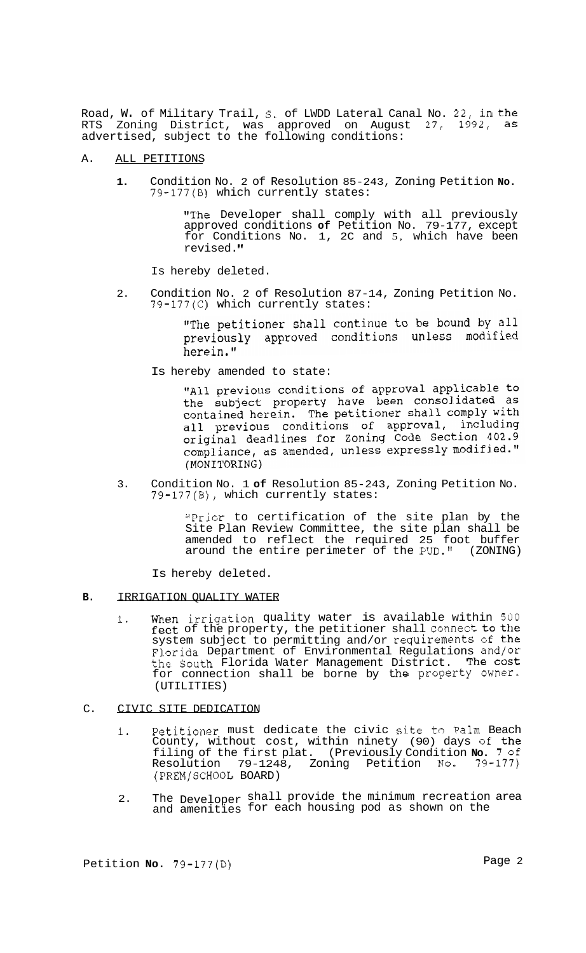Road, w. of Military Trail, S. of LWDD Lateral Canal No. 22, in the RTS Zoning District, was approved on August 27, 1992, as advertised, subject to the following conditions:

### A. ALL PETITIONS

**1.** Condition No. 2 of Resolution 85-243, Zoning Petition **No.**  79-177(B) which currently states:

> "The Developer shall comply with all previously approved conditions **of** Petition No. 79-177, except for Conditions No. 1, 2C and 5, which have been revised.

Is hereby deleted.

2. Condition No. 2 of Resolution 87-14, Zoning Petition No. 79-177(C) which currently states:

> "The petitioner shall continue to be bound by all previously approved conditions unless modified herein."

Is hereby amended to state:

"All previous conditions of approval applicable to the subject property have been consolidated as contained herein. The petitioner shall comply with all previous conditions of approval, including all previous conditions of approval, including<br>original deadlines for Zoning Code Section 402.9<br>compliance, as amended, unless expressly modified." (MONITORING)

3. Condition No. 1 **of** Resolution 85-243, Zoning Petition No. 79-177(B), which currently states:

> "Prior to certification of the site plan by the Site Plan Review Committee, the site plan shall be amended to reflect the required 25 foot buffer around the entire perimeter of the PUD." (ZONING)

Is hereby deleted.

- **B.** IRRIGATION QUALITY WATER
	- **1.** When irrigation quality water is available within *500*  feet of the property, the petitioner shall connect to the system subject to permitting and/or requirements of the Florida Department of Environmental Regulations and/or the South Florida Water Management District. The cost for connection shall be borne by the property owner. (UTILITIES)
- C. CIVIC SITE DEDICATION
	- **1.** Petitioner must dedicate the civic site **t.o Palm** Beach County, without cost, within ninety (90) days of the filing of the first plat. (Previously Condition **No.** 7 of Resolution 79-1248, Zoning Petition **No.** 79-177) (PREM/SCHOOL BOARD)
	- 2. The Developer shall provide the minimum recreation area and amenities for each housing pod as shown on the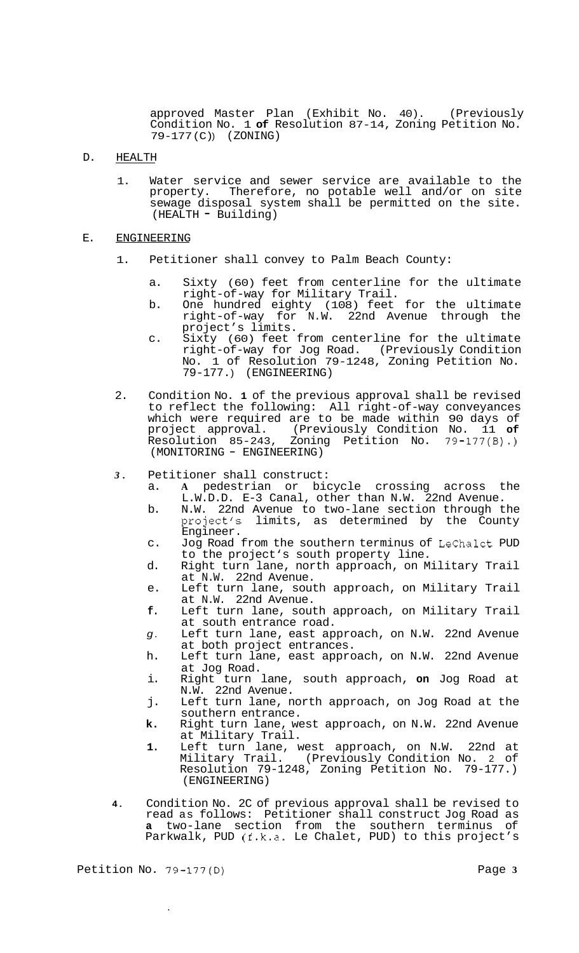approved Master Plan (Exhibit No. 40). (Previously Condition No. 1 **of** Resolution 87-14, Zoning Petition No. 79-177 (C) ) (ZONING)

## D. HEALTH

1. Water service and sewer service are available to the property. Therefore, no potable well and/or on site sewage disposal system shall be permitted on the site. (HEALTH - Building)

# E. ENGINEERING

- 1. Petitioner shall convey to Palm Beach County:
	- a. Sixty (60) feet from centerline for the ultimate right-of-way for Military Trail.
	- b. One hundred eighty (108) feet for the ultimate right-of -way for N. W. 22nd Avenue through the project's limits.
	- c. Sixty (60) feet from centerline for the ultimate right-of-way for Jog Road. (Previously Condition No. 1 of Resolution 79-1248, Zoning Petition No. 79-177. ) (ENGINEERING)
- 2. Condition No. **1** of the previous approval shall be revised to reflect the following: All right-of-way conveyances which were required are to be made within 90 days of project approval. (Previously Condition No. 11 **of**  Resolution 85-243, Zoning Petition No. 79-177(B).) (MONITORING - ENGINEERING)
- *3.* Petitioner shall construct:
	- a. **A** pedestrian or bicycle crossing across the L.W.D.D. E-3 Canal, other than N.W. 22nd Avenue.
	- b. N.W. 22nd Avenue to two-lane section through the project's limits, as determined by the County Engineer.
	- c. Jog Road from the southern terminus of LeChalet PUD to the project's south property line.
	- d. Right turn lane, north approach, on Military Trail at N.W. 22nd Avenue.
	- e. Left turn lane, south approach, on Military Trail at N.W. 22nd Avenue.
	- **f.** Left turn lane, south approach, on Military Trail at south entrance road.
	- *g.* Left turn lane, east approach, on N.W. 22nd Avenue at both project entrances.
	- h. Left turn lane, east approach, on N.W. 22nd Avenue at Jog Road.
	- i. Right turn lane, south approach, **on** Jog Road at N.W. 22nd Avenue.
	- j. Left turn lane, north approach, on Jog Road at the southern entrance.
	- **k.** Right turn lane, west approach, on N.W. 22nd Avenue at Military Trail.
	- **1.** Left turn lane, west approach, on N.W. 22nd at Military Trail. (Previously Condition No. 2 of Resolution 79-1248, Zoning Petition No. 79-177.) (ENGINEERING)
- **4.** Condition No. 2C of previous approval shall be revised to read as follows: Petitioner shall construct Jog Road as **a** two-lane section from the southern terminus of Parkwalk, PUD (f.k.a. Le Chalet, PUD) to this project's

 $\hat{\mathbf{r}}$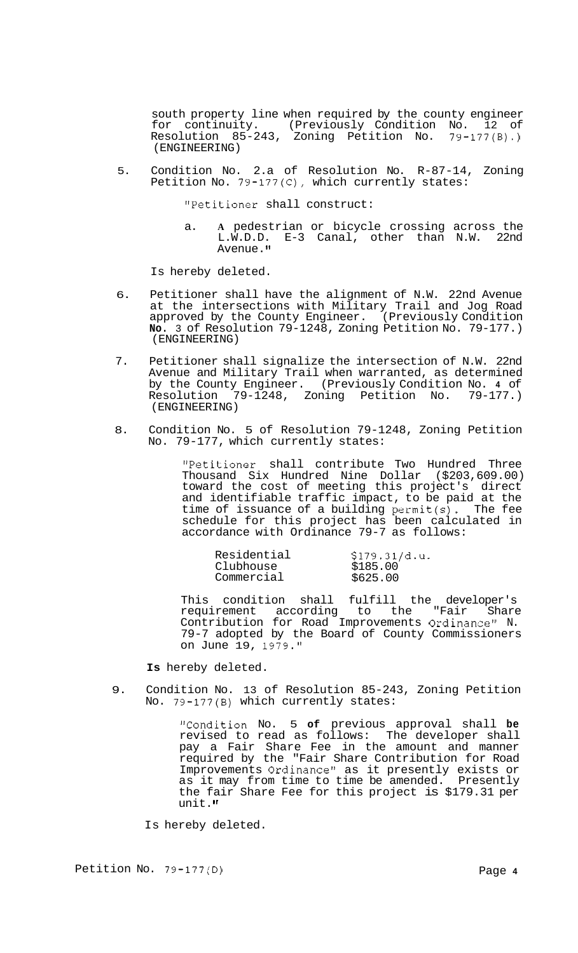south property line when required by the county engineer for continuity. (Previously Condition No. 12 of Resolution 85-243, Zoning Petition No. 79-177(B).) (ENGINEERING)

5. Condition No. 2.a of Resolution No. R-87-14, Zoning Petition No. 79-177(C), which currently states:

"Petitioner shall construct:

a. **A** pedestrian or bicycle crossing across the L.W.D.D. E-3 Canal, other than N.W. 22nd Avenue."

Is hereby deleted.

- 6. Petitioner shall have the alignment of N.W. 22nd Avenue at the intersections with Military Trail and Jog Road approved by the County Engineer. (Previously Condition **No.** 3 of Resolution 79-1248, Zoning Petition No. 79-177.) (ENGINEERING)
- 7. Petitioner shall signalize the intersection of N.W. 22nd Avenue and Military Trail when warranted, as determined by the County Engineer. (Previously Condition No. **4** of Resolution 79-1248, Zoning Petition No. 79-177.) (ENGINEERING)
- 8. Condition No. 5 of Resolution 79-1248, Zoning Petition No. 79-177, which currently states:

"Petitioner shall contribute Two Hundred Three Thousand Six Hundred Nine Dollar (\$203,609.00) toward the cost of meeting this project's direct and identifiable traffic impact, to be paid at the time of issuance of a building permit(s). The fee schedule for this project has been calculated in accordance with Ordinance 79-7 as follows:

| Residential | \$179.31/d.u. |
|-------------|---------------|
| Clubhouse   | \$185.00      |
| Commercial  | \$625.00      |

This condition shall fulfill the developer's requirement according to the "Fair Share Contribution for Road Improvements Ordinance" N. 79-7 adopted by the Board of County Commissioners on June 19, 1979."

**Is** hereby deleted.

9. Condition No. 13 of Resolution 85-243, Zoning Petition No. 79-177(B) which currently states:

> "Condition No. 5 **of** previous approval shall **be**  revised to read as follows: The developer shall pay a Fair Share Fee in the amount and manner required by the "Fair Share Contribution for Road Improvements Ordinance" as it presently exists or as it may from time to time be amended. Presently the fair Share Fee for this project is \$179.31 per unit."

Is hereby deleted.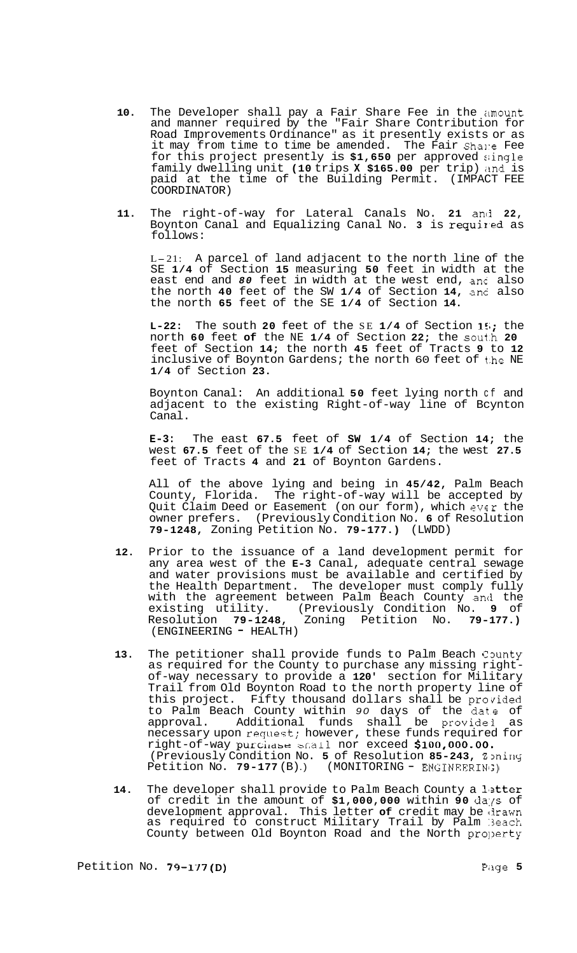- 10. The Developer shall pay a Fair Share Fee in the amount and manner required by the "Fair Share Contribution for Road Improvements Ordinance" as it presently exists or as it may from time to time be amended. The Fair Shale Fee for this project presently is \$1,650 per approved single family dwelling unit **(10** trips **X \$165.00** per trip) imd is paid at the time of the Building Permit. (IMPACT FEE COORDINATOR)
- **11.** The right-of-way for Lateral Canals No. **21** ancj **22,**  Boynton Canal and Equalizing Canal No. 3 is required as follows:

L-21: A parcel of land adjacent to the north line of the SE **1/4** of Section **15** measuring **50** feet in width at the east end and *80* feet in width at the west end, anc also the north **40** feet of the SW **1/4** of Section **14,** and also the north **65** feet of the SE **1/4** of Section **14.** 

**L-22:** The south **20** feet of the SE **1/4** of Section **151;** the north **60** feet **of** the NE **1/4** of Section **22;** the s0ut.h **20**  feet of Section **14;** the north **45** feet of Tracts **9** to **12**  inclusive of Boynton Gardens; the north 60 feet of the NE **1/4** of Section **23.** 

Boynton Canal: An additional **50** feet lying north cf and adjacent to the existing Right-of-way line of Bcynton Canal.

**E-3:** The east **67.5** feet of **SW 1/4** of Section **14;** the west **67.5** feet of the SE **1/4** of Section **14;** the west **27.5**  feet of Tracts **4** and **21** of Boynton Gardens.

All of the above lying and being in **45/42,** Palm Beach County, Florida. The right-of-way will be accepted by Quit Claim Deed or Easement (on our form), which ever the owner prefers. (Previously Condition No. **6** of Resolution **79-1248,** Zoning Petition No. **79-177.)** (LWDD)

- **12.** Prior to the issuance of a land development permit for any area west of the **E-3** Canal, adequate central sewage and water provisions must be available and certified by the Health Department. The developer must comply fully with the agreement between Palm Beach County and the<br>existing utility. (Previously Condition No. 9 of existing utility. (Previously Condition No. 9<br>Resolution 79-1248, Zoning Petition No. 79-17 Resolution **79-1248,** Zoning Petition No. **79-177.)**  (ENGINEERING - HEALTH)
- 13. The petitioner shall provide funds to Palm Beach County as required for the County to purchase any missing rightof-way necessary to provide a 120' section for Military Trail from Old Boynton Road to the north property line of this project. Fifty thousand dollars shall be provided to Palm Beach County within *90* days of the dat.e of approval. Additional funds shall be providei as necessary upon request; however, these funds required for right-of-way purchase snall nor exceed \$100,000.00. (Previously Condition No. 5 of Resolution 85-243, Zoning<br>Petition No. 79-177 (B).) (MONITORING - ENGINEERING)
- 14. The developer shall provide to Palm Beach County a letter of credit in the amount of **\$1,000,000** within **90** da:p of development approval. This letter of credit may be drawn as required to construct Military Trail by Palm Beach County between Old Boynton Road and the North property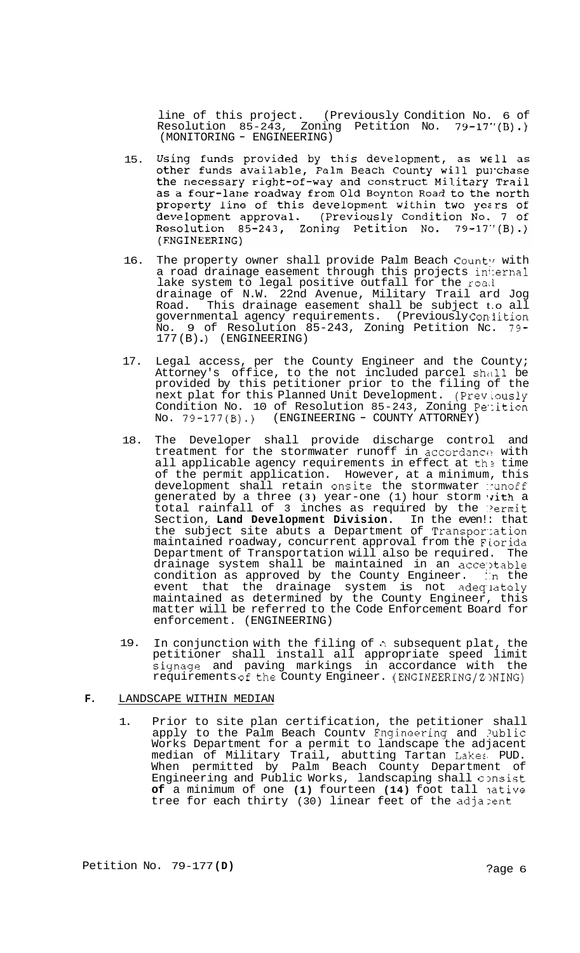line of this project. (Previously Condition No. 6 of Resolution 85-243, Zoning Petition No. 79-17"(B).) (MONITORING - ENGINEERING)

- Using funds provided by this development, as well as 15. osing Tunds provided by this development, as well as<br>other funds available, Palm Beach County will purchase<br>the necessary right-of-way and construct Military Trail as a four-lane roadway from Old Boynton Road to the north property line of this development within two years of development approval. (Previously Condition No. 7 of<br>Resolution 85-243, Zoning Petition No. 79-17"(B).) (ENGINEERING)
- 16. The property owner shall provide Palm Beach County with a road drainage easement through this projects in1:ernal lake system to legal positive outfall for the road drainage of N.W. 22nd Avenue, Military Trail ard Jog Road. This drainage easement shall be subject t.o all governmental agency requirements. (Previously Con'iition No. 9 of Resolution 85-243, Zoning Petition Nc. 79- 177(B).) (ENGINEERING)
- 17. Legal access, per the County Engineer and the County; Attorney's office, to the not included parcel shall be provided by this petitioner prior to the filing of the next plat for this Planned Unit Development. (Previously Condition No. 10 of Resolution 85-243, Zoning Petition<br>No. 79-177(B).) (ENGINEERING - COUNTY ATTORNEY)
- 18. The Developer shall provide discharge control and treatment for the stormwater runoff in accordance with all applicable agency requirements in effect at the time of the permit application. However, at a minimum, this development shall retain onsite the stormwater nunoff generated by a three (3) year-one (1) hour storm vith a total rainfall of 3 inches as required by the Permit Section, **Land Development Division.** In the even!: that the subject site abuts a Department of Transportation maintained roadway, concurrent approval from the FLorida Department of Transportation will also be required. The drainage system shall be maintained in an acceptable condition as approved by the County Engineer. In the event that the drainage system is not adeq'lately maintained as determined by the County Engineer, this matter will be referred to the Code Enforcement Board for enforcement. (ENGINEERING)
- 19. In conjunction with the filing of a subsequent plat, the petitioner shall install all appropriate speed limit signage and paving markings in accordance with the requirements of the County Engineer. (ENGINEERING/ZDNING)

## **F.** LANDSCAPE WITHIN MEDIAN

1. Prior to site plan certification, the petitioner shall apply to the Palm Beach Countv Fngineering and ?ublic Works Department for a permit to landscape the adjacent median of Military Trail, abutting Tartan Lakes, PUD. When permitted by Palm Beach County Department of Engineering and Public Works, landscaping shall consist of a minimum of one (1) fourteen (14) foot tall native tree for each thirty (30) linear feet of the adjazent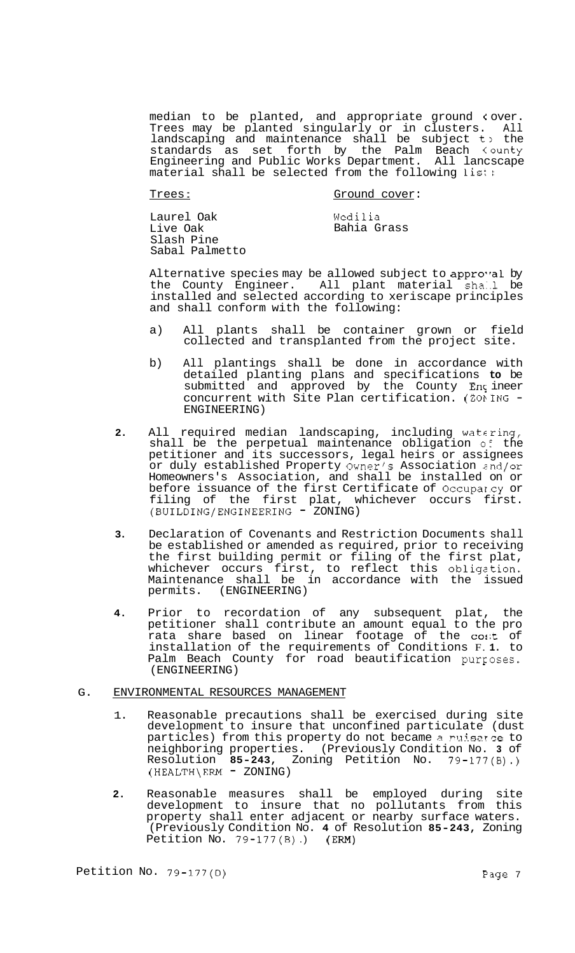median to be planted, and appropriate ground **c** over. Trees may be planted singularly or in clusters. All landscaping and maintenance shall be subject t) the standards as set forth by the Palm Beach tounty Engineering and Public Works Department. All lancscape material shall be selected from the following list:

Trees: Trees: Ground cover:

Laurel Oak Live Oak Slash Pine Sabal Palmetto Wedilia Bahia Grass

Alternative species may be allowed subject to approval by the County Engineer. All plant material sha..l be installed and selected according to xeriscape principles and shall conform with the following:

- a) All plants shall be container grown or field collected and transplanted from the project site.
- b) All plantings shall be done in accordance with detailed planting plans and specifications **to** be submitted and approved by the County Engineer<br>concurrent with Site Plan certification. (ZONING -ENGINEERING)
- **2.** All required median landscaping, including watering, shall be the perpetual maintenance obligation of the petitioner and its successors, legal heirs or assignees or duly established Property Owner's Association znd/or Homeowners's Association, and shall be installed on or before issuance of the first Certificate of Occuparcy or filing of the first plat, whichever occurs first.<br>(BUILDING/ENGINEERING - ZONING)
- **3.** Declaration of Covenants and Restriction Documents shall be established or amended as required, prior to receiving the first building permit or filing of the first plat, whichever occurs first, to reflect this obligztion. Maintenance shall be in accordance with the issued permits. (ENGINEERING)
- **4.** Prior to recordation of any subsequent plat, the petitioner shall contribute an amount equal to the pro pectricial shart concrete in the constructed product of installation of the requirements of Conditions F. **1.** to Palm Beach County for road beautification purposes. (ENGINEERING)

### G. ENVIRONMENTAL RESOURCES MANAGEMENT

- 1. Reasonable precautions shall be exercised during site development to insure that unconfined particulate (dust particles) from this property do not became a muisarce to neighboring properties. (Previously Condition No. **3** of Resolution **85-243,** Zoning Petition No. 79-177(B).) (HEALTH\ERM - ZONING)
- **2.** Reasonable measures shall be employed during site development to insure that no pollutants from this property shall enter adjacent or nearby surface waters. (Previously Condition No. **4** of Resolution **85-243,** Zoning Petition No. 79-177(B).) (ERM)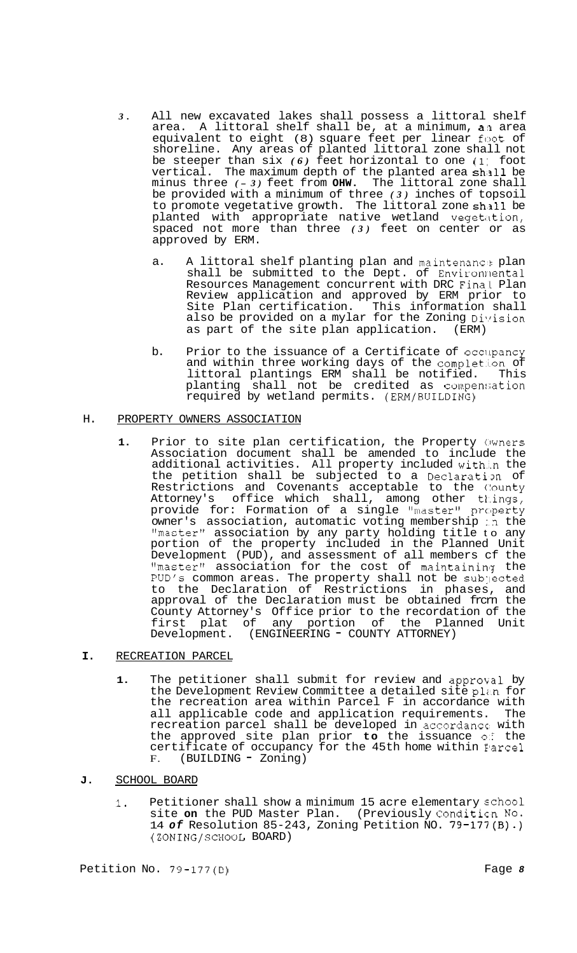- *3.* All new excavated lakes shall possess a littoral shelf area. A littoral shelf shall be, at a minimum, an area equivalent to eight (8) square feet per linear foot of shoreline. Any areas of planted littoral zone shall not be steeper than six *(6)* feet horizontal to one (1~ foot vertical. The maximum depth of the planted area shall be minus three *( - 3)* feet from **OHW.** The littoral zone shall be provided with a minimum of three *(3)* inches of topsoil to promote vegetative growth. The littoral zone shall be planted with appropriate native wetland vegetation, spaced not more than three *(3)* feet on center or as approved by ERM.
	- a. A littoral shelf planting plan and maintenance plan shall be submitted to the Dept. of Environnental Resources Management concurrent with DRC Final Plan Review application and approved by ERM prior to Site Plan certification. This information shall also be provided on a mylar for the Zoning Division<br>as part of the site plan application. (ERM) as part of the site plan application.
	- b. Prior to the issuance of a Certificate of occilpancy and within three working days of the completion of littoral plantings ERM shall be notified. This planting shall not be credited as compen:;ation required by wetland permits. (ERM/BUILDING)

### H. PROPERTY OWNERS ASSOCIATION

1. Prior to site plan certification, the Property Owners Association document shall be amended to include the additional activities. All property included with…n the the petition shall be subjected to a Declaration of Restrictions and Covenants acceptable to the County Attorney's office which shall, among other things, provide for: Formation of a single "master" property owner's association, automatic voting membership :n the "master" association by any party holding title to any portion of the property included in the Planned Unit Development (PUD), and assessment of all members cf the "master" association for the cost of maintaining the PUD's common areas. The property shall not be subjected to the Declaration of Restrictions in phases, and approval of the Declaration must be obtained from the County Attorney's Off ice prior to the recordation of the first plat of any portion of the Planned Unit Development. (ENGINEERING - COUNTY ATTORNEY)

# **I.** RECREATION PARCEL

- 1. The petitioner shall submit for review and approval by the Development Review Committee a detailed site plan for the recreation area within Parcel F in accordance with all applicable code and application requirements. The recreation parcel shall be developed in accordance' with the approved site plan prior **to** the issuance *OS* the certificate of occupancy for the 45th home within Elarcel F. (BUILDING - Zoning)
- **J.** SCHOOL BOARD
	- **1.** Petitioner shall show a minimum 15 acre elementary school site **on** the PUD Master Plan. (Previously Conditicn No. 14 *of* Resolution 85-243, Zoning Petition NO. 79-177(B).) (ZONING/SCHOOL BOARD)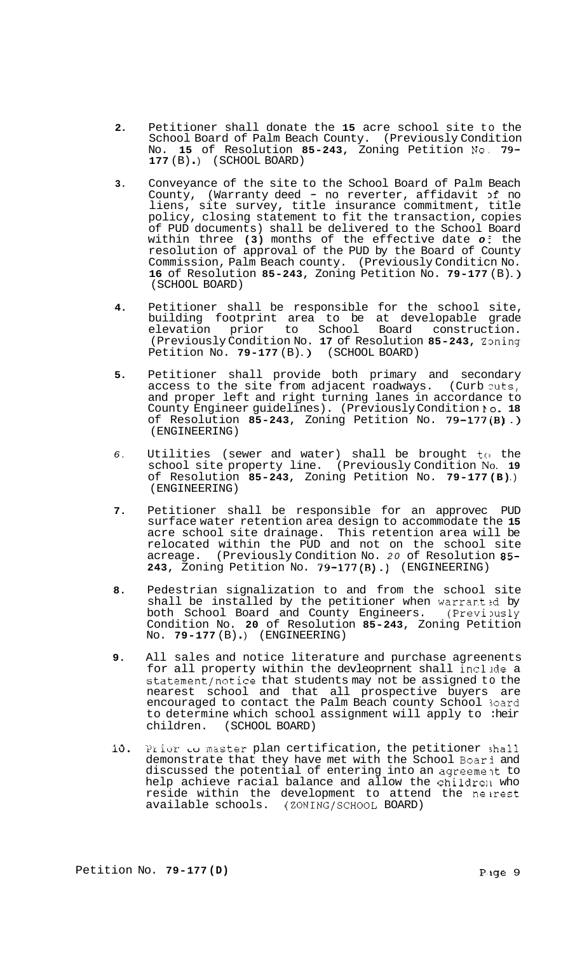- **2.**  Petitioner shall donate the **15** acre school site to the School Board of Palm Beach County. (Previously Condition No. **15** of Resolution **85-243,** Zoning Petition No, **79- <sup>177</sup>**(B) . ) (SCHOOL BOARD)
- **3.**  Conveyance of the site to the School Board of Palm Beach County, (Warranty deed - no reverter, affidavit  $if$  no liens, site survey, title insurance commitment, title policy, closing statement to fit the transaction, copies of PUD documents) shall be delivered to the School Board within three **(3)** months of the effective date *o* ? the resolution of approval of the PUD by the Board of County Commission, Palm Beach county. (Previously Conditicn No. **<sup>16</sup>**of Resolution **85-243,** Zoning Petition No. **79-177** (B) .) (SCHOOL BOARD)
- **4.**  Petitioner shall be responsible for the school site, building footprint area to be at developable grade elevation prior to School Board construction. (Previously Condition No. 17 of Resolution 85-243, Zoning Petition No. 79-177 (B).) (SCHOOL BOARD)
- **5.**  Petitioner shall provide both primary and secondary access to the site from adjacent roadways. (Curb cuts, and proper left and right turning lanes in accordance to County Engineer guidelines). (Previously Condition **bo. 18**  of Resolution **85-243,** Zoning Petition No. **79-177(B)** .) (ENGINEERING)
- *6.*  Utilities (sewer and water) shall be brought  $t \circ t$  the school site property line. (Previously Condition No. **19**  of Resolution **85-243,** Zoning Petition No. **79-177 (B)** .) (ENGINEERING)
- **7.**  Petitioner shall be responsible for an approvec PUD surface water retention area design to accommodate the **15**  acre school site drainage. This retention area will be relocated within the PUD and not on the school site acreage. (Previously Condition No. *20* of Resolution **85- 243,** Zoning Petition No. **79-177(B).)** (ENGINEERING)
- **8.**  Pedestrian signalization to and from the school site shall be installed by the petitioner when warranted by both School Board and County Engineers. (Previously Condition No. **20** of Resolution **85-243,** Zoning Petition No. **79-177** (B).) (ENGINEERING)
- **9.**  All sales and notice literature and purchase agreenents for all property within the devleoprnent shall include a statement/notice that students may not be assigned to the nearest school and that all prospective buyers are encouraged to contact the Palm Beach county School 3oard to determine which school assignment will apply to :heir<br>children. (SCHOOL BOARD) (SCHOOL BOARD)
- **10.**  Prior **LO** master plan certification, the petitioner shall demonstrate that they have met with the School Boari and discussed the potential of entering into an agreement to help achieve racial balance and allow the childre11 who reside within the development to attend the neirest available schools. (ZONING/SCHOOL BOARD)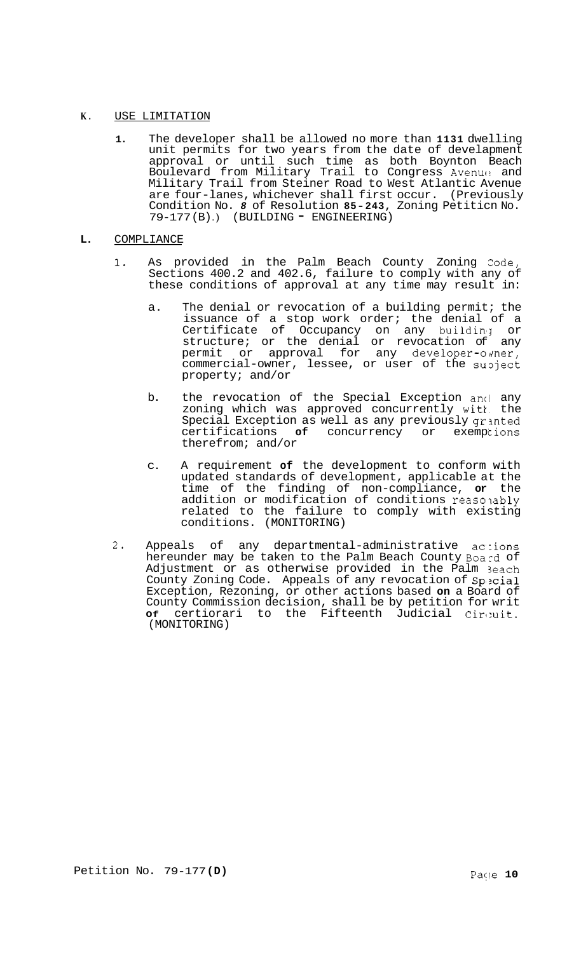# **K.** USE LIMITATION

- **1.** The developer shall be allowed no more than **1131** dwelling unit permits for two years from the date of develapment approval or until such time as both Boynton Beach Boulevard from Military Trail to Congress Avenue and Military Trail from Steiner Road to West Atlantic Avenue are four-lanes, whichever shall first occur. (Previously Condition No. *8* of Resolution **85-243,** Zoning Petiticn No. 79-177 (B) .) (BUILDING - ENGINEERING)
- **L. COMPLIANCE** 
	- **1.** As provided in the Palm Beach County Zoning Zode, Sections 400.2 and 402.6, failure to comply with any of these conditions of approval at any time may result in:
		- a. The denial or revocation of a building permit; the issuance of a stop work order; the denial of a Certificate of Occupancy on any building or structure; or the denial or revocation of any permit or approval for any developer-omer, commercial-owner, lessee, or user of the supject property; and/or
		- b. the revocation of the Special Exception anci any zoning which was approved concurrently witk. the Special Exception as well as any previously granted certifications of concurrency or exemptions therefrom; and/or
		- C. A requirement **of** the development to conform with updated standards of development, applicable at the time of the finding of non-compliance, **or** the addition or modification of conditions reaso ably related to the failure to comply with existing conditions. (MONITORING)
	- 2. Appeals of any departmental-administrative actions hereunder may be taken to the Palm Beach County Board of Adjustment or as otherwise provided in the Palm 3each County Zoning Code. Appeals of any revocation of Special Exception, Rezoning, or other actions based **on** a Board of County Commission decision, shall be by petition for writ **Of** certiorari to the Fifteenth Judicial Cir,:uit. (MONITORING)